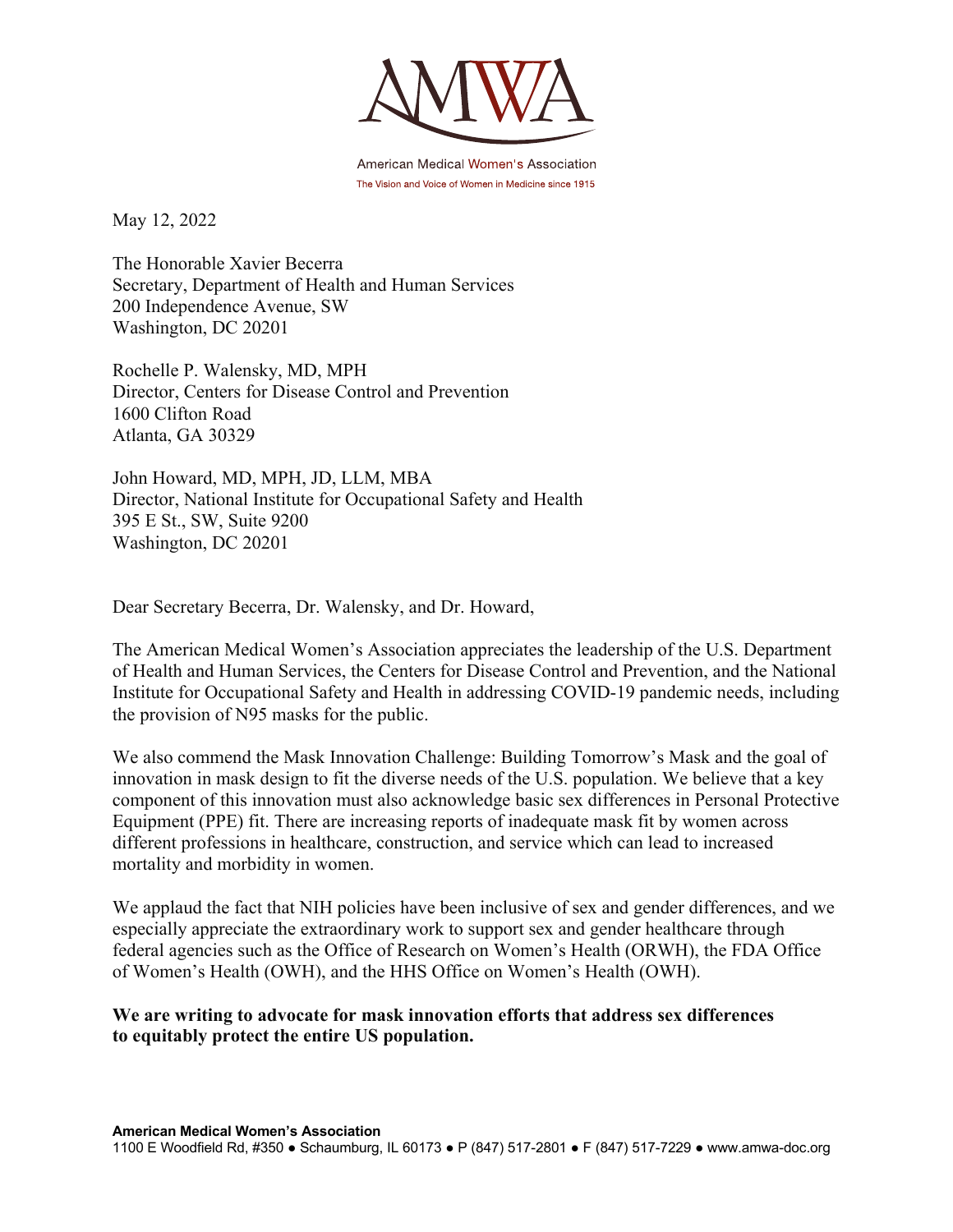

American Medical Women's Association The Vision and Voice of Women in Medicine since 1915

May 12, 2022

The Honorable Xavier Becerra Secretary, Department of Health and Human Services 200 Independence Avenue, SW Washington, DC 20201

Rochelle P. Walensky, MD, MPH Director, Centers for Disease Control and Prevention 1600 Clifton Road Atlanta, GA 30329

John Howard, MD, MPH, JD, LLM, MBA Director, National Institute for Occupational Safety and Health 395 E St., SW, Suite 9200 Washington, DC 20201

Dear Secretary Becerra, Dr. Walensky, and Dr. Howard,

The American Medical Women's Association appreciates the leadership of the U.S. Department of Health and Human Services, the Centers for Disease Control and Prevention, and the National Institute for Occupational Safety and Health in addressing COVID-19 pandemic needs, including the provision of N95 masks for the public.

We also commend the Mask Innovation Challenge: Building Tomorrow's Mask and the goal of innovation in mask design to fit the diverse needs of the U.S. population. We believe that a key component of this innovation must also acknowledge basic sex differences in Personal Protective Equipment (PPE) fit. There are increasing reports of inadequate mask fit by women across different professions in healthcare, construction, and service which can lead to increased mortality and morbidity in women.

We applaud the fact that NIH policies have been inclusive of sex and gender differences, and we especially appreciate the extraordinary work to support sex and gender healthcare through federal agencies such as the Office of Research on Women's Health (ORWH), the FDA Office of Women's Health (OWH), and the HHS Office on Women's Health (OWH).

**We are writing to advocate for mask innovation efforts that address sex differences to equitably protect the entire US population.**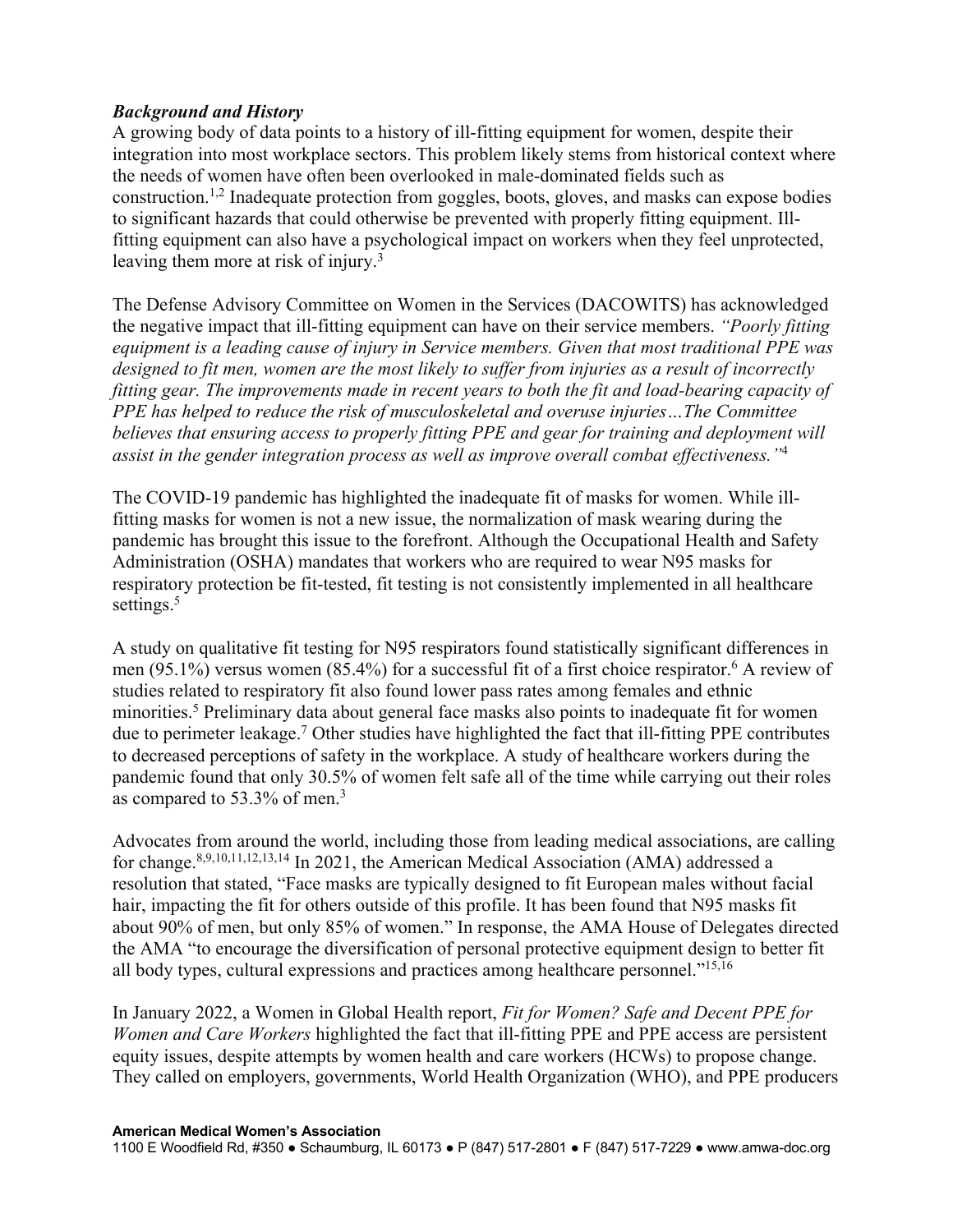## *Background and History*

A growing body of data points to a history of ill-fitting equipment for women, despite their integration into most workplace sectors. This problem likely stems from historical context where the needs of women have often been overlooked in male-dominated fields such as construction.1,2 Inadequate protection from goggles, boots, gloves, and masks can expose bodies to significant hazards that could otherwise be prevented with properly fitting equipment. Illfitting equipment can also have a psychological impact on workers when they feel unprotected, leaving them more at risk of injury.<sup>3</sup>

The Defense Advisory Committee on Women in the Services (DACOWITS) has acknowledged the negative impact that ill-fitting equipment can have on their service members. *"Poorly fitting equipment is a leading cause of injury in Service members. Given that most traditional PPE was designed to fit men, women are the most likely to suffer from injuries as a result of incorrectly fitting gear. The improvements made in recent years to both the fit and load-bearing capacity of PPE has helped to reduce the risk of musculoskeletal and overuse injuries…The Committee believes that ensuring access to properly fitting PPE and gear for training and deployment will assist in the gender integration process as well as improve overall combat effectiveness."*<sup>4</sup>

The COVID-19 pandemic has highlighted the inadequate fit of masks for women. While illfitting masks for women is not a new issue, the normalization of mask wearing during the pandemic has brought this issue to the forefront. Although the Occupational Health and Safety Administration (OSHA) mandates that workers who are required to wear N95 masks for respiratory protection be fit-tested, fit testing is not consistently implemented in all healthcare settings.<sup>5</sup>

A study on qualitative fit testing for N95 respirators found statistically significant differences in men (95.1%) versus women (85.4%) for a successful fit of a first choice respirator. <sup>6</sup> A review of studies related to respiratory fit also found lower pass rates among females and ethnic minorities.<sup>5</sup> Preliminary data about general face masks also points to inadequate fit for women due to perimeter leakage.7 Other studies have highlighted the fact that ill-fitting PPE contributes to decreased perceptions of safety in the workplace. A study of healthcare workers during the pandemic found that only 30.5% of women felt safe all of the time while carrying out their roles as compared to 53.3% of men.3

Advocates from around the world, including those from leading medical associations, are calling for change.8,9,10,11,12,13,14 In 2021, the American Medical Association (AMA) addressed a resolution that stated, "Face masks are typically designed to fit European males without facial hair, impacting the fit for others outside of this profile. It has been found that N95 masks fit about 90% of men, but only 85% of women." In response, the AMA House of Delegates directed the AMA "to encourage the diversification of personal protective equipment design to better fit all body types, cultural expressions and practices among healthcare personnel."15,16

In January 2022, a Women in Global Health report, *Fit for Women? Safe and Decent PPE for Women and Care Workers* highlighted the fact that ill-fitting PPE and PPE access are persistent equity issues, despite attempts by women health and care workers (HCWs) to propose change. They called on employers, governments, World Health Organization (WHO), and PPE producers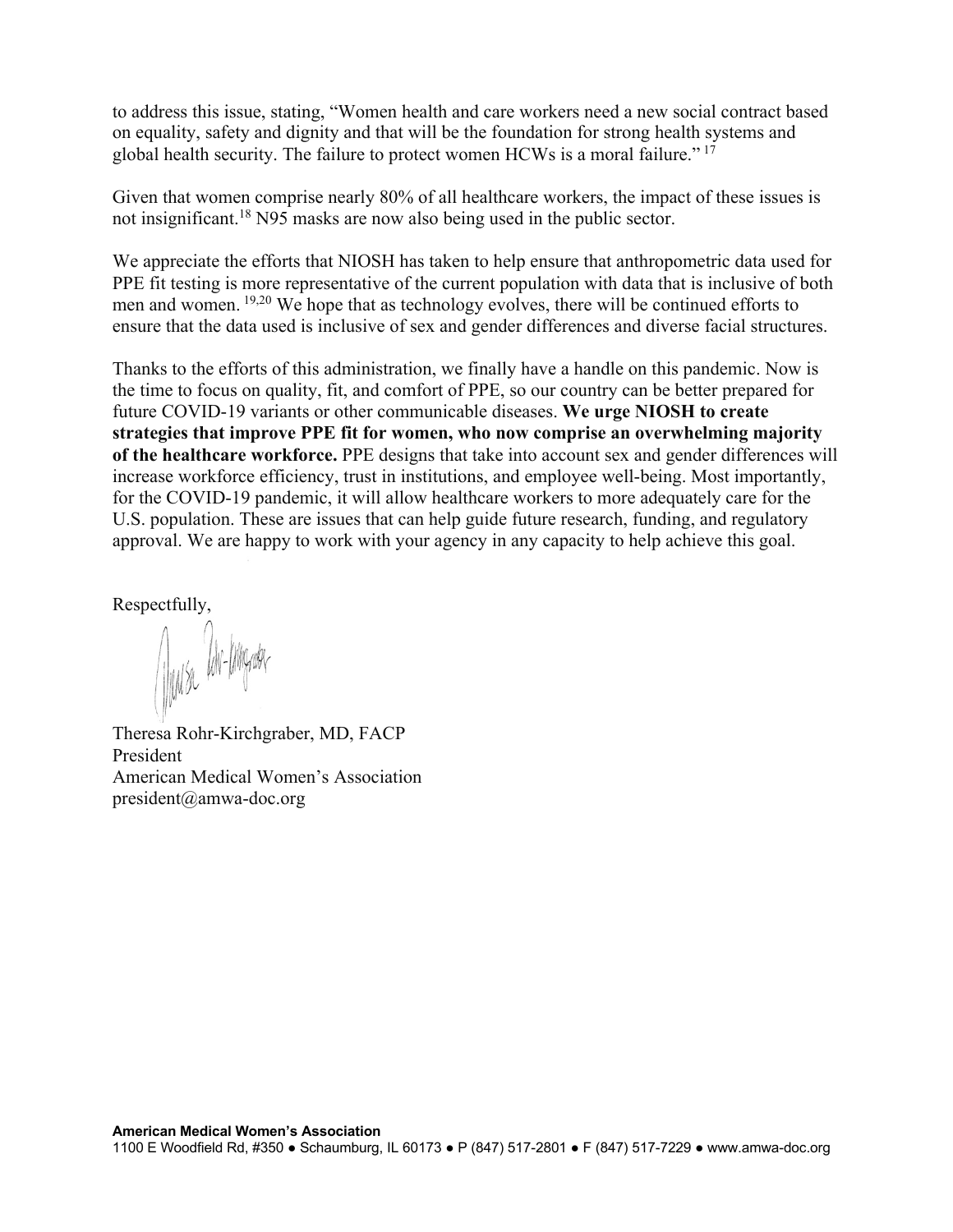to address this issue, stating, "Women health and care workers need a new social contract based on equality, safety and dignity and that will be the foundation for strong health systems and global health security. The failure to protect women HCWs is a moral failure." <sup>17</sup>

Given that women comprise nearly 80% of all healthcare workers, the impact of these issues is not insignificant. <sup>18</sup> N95 masks are now also being used in the public sector.

We appreciate the efforts that NIOSH has taken to help ensure that anthropometric data used for PPE fit testing is more representative of the current population with data that is inclusive of both men and women. 19,20 We hope that as technology evolves, there will be continued efforts to ensure that the data used is inclusive of sex and gender differences and diverse facial structures.

Thanks to the efforts of this administration, we finally have a handle on this pandemic. Now is the time to focus on quality, fit, and comfort of PPE, so our country can be better prepared for future COVID-19 variants or other communicable diseases. **We urge NIOSH to create strategies that improve PPE fit for women, who now comprise an overwhelming majority of the healthcare workforce.** PPE designs that take into account sex and gender differences will increase workforce efficiency, trust in institutions, and employee well-being. Most importantly, for the COVID-19 pandemic, it will allow healthcare workers to more adequately care for the U.S. population. These are issues that can help guide future research, funding, and regulatory approval. We are happy to work with your agency in any capacity to help achieve this goal.

Respectfully,

Muse Un-Ingram

Theresa Rohr-Kirchgraber, MD, FACP President American Medical Women's Association president@amwa-doc.org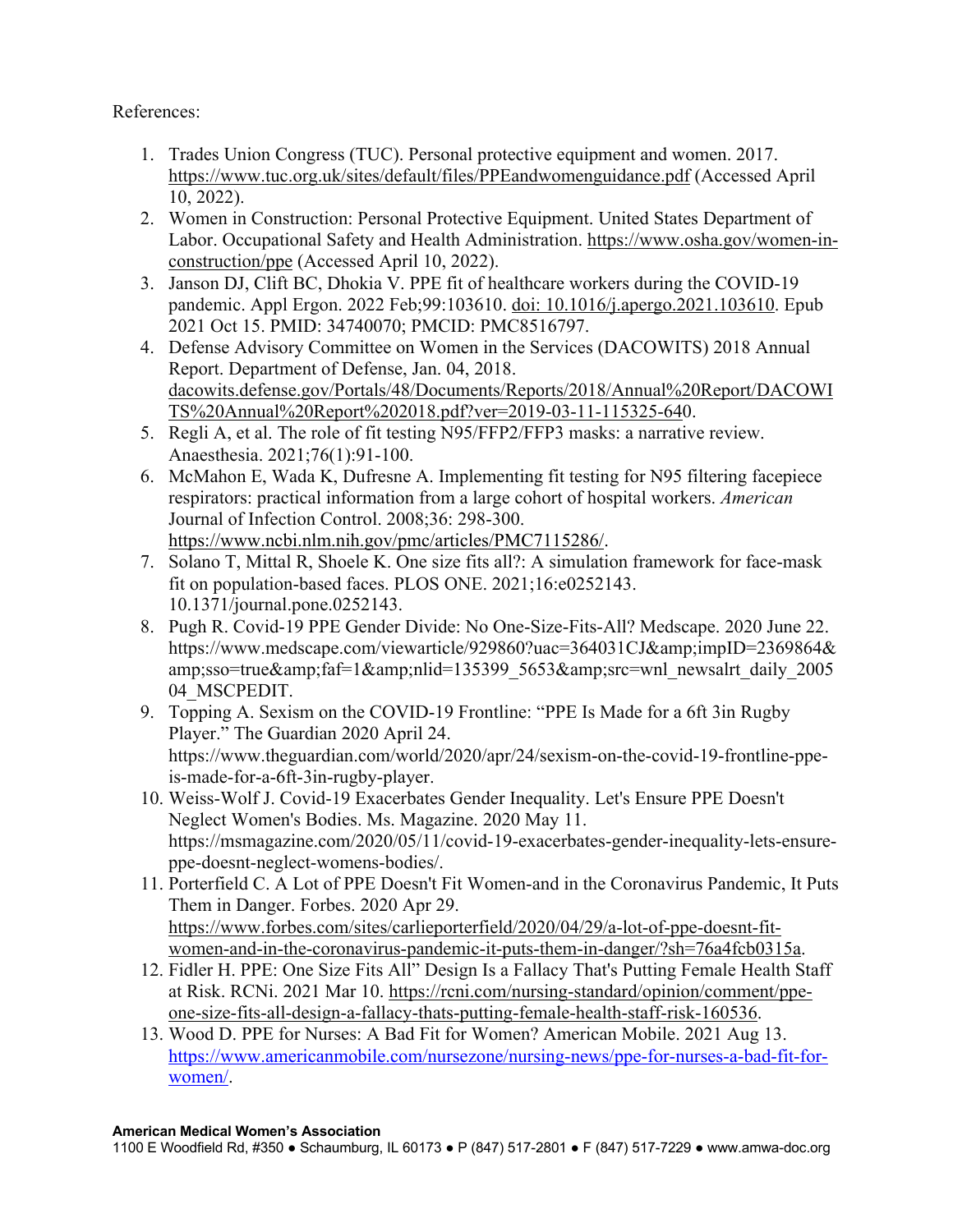References:

- 1. Trades Union Congress (TUC). Personal protective equipment and women. 2017. https://www.tuc.org.uk/sites/default/files/PPEandwomenguidance.pdf (Accessed April 10, 2022).
- 2. Women in Construction: Personal Protective Equipment. United States Department of Labor. Occupational Safety and Health Administration. https://www.osha.gov/women-inconstruction/ppe (Accessed April 10, 2022).
- 3. Janson DJ, Clift BC, Dhokia V. PPE fit of healthcare workers during the COVID-19 pandemic. Appl Ergon. 2022 Feb;99:103610. doi: 10.1016/j.apergo.2021.103610. Epub 2021 Oct 15. PMID: 34740070; PMCID: PMC8516797.
- 4. Defense Advisory Committee on Women in the Services (DACOWITS) 2018 Annual Report. Department of Defense, Jan. 04, 2018. dacowits.defense.gov/Portals/48/Documents/Reports/2018/Annual%20Report/DACOWI TS%20Annual%20Report%202018.pdf?ver=2019-03-11-115325-640.
- 5. Regli A, et al. The role of fit testing N95/FFP2/FFP3 masks: a narrative review. Anaesthesia. 2021;76(1):91-100.
- 6. McMahon E, Wada K, Dufresne A. Implementing fit testing for N95 filtering facepiece respirators: practical information from a large cohort of hospital workers. *American*  Journal of Infection Control. 2008;36: 298-300. https://www.ncbi.nlm.nih.gov/pmc/articles/PMC7115286/.
- 7. Solano T, Mittal R, Shoele K. One size fits all?: A simulation framework for face-mask fit on population-based faces. PLOS ONE. 2021;16:e0252143. 10.1371/journal.pone.0252143.
- 8. Pugh R. Covid-19 PPE Gender Divide: No One-Size-Fits-All? Medscape. 2020 June 22. https://www.medscape.com/viewarticle/929860?uac=364031CJ&impID=2369864& amp;sso=true&faf=1&nlid=135399\_5653&src=wnl\_newsalrt\_daily\_2005 04\_MSCPEDIT.
- 9. Topping A. Sexism on the COVID-19 Frontline: "PPE Is Made for a 6ft 3in Rugby Player." The Guardian 2020 April 24. https://www.theguardian.com/world/2020/apr/24/sexism-on-the-covid-19-frontline-ppeis-made-for-a-6ft-3in-rugby-player.
- 10. Weiss-Wolf J. Covid-19 Exacerbates Gender Inequality. Let's Ensure PPE Doesn't Neglect Women's Bodies. Ms. Magazine. 2020 May 11. https://msmagazine.com/2020/05/11/covid-19-exacerbates-gender-inequality-lets-ensureppe-doesnt-neglect-womens-bodies/.
- 11. Porterfield C. A Lot of PPE Doesn't Fit Women-and in the Coronavirus Pandemic, It Puts Them in Danger. Forbes. 2020 Apr 29. https://www.forbes.com/sites/carlieporterfield/2020/04/29/a-lot-of-ppe-doesnt-fitwomen-and-in-the-coronavirus-pandemic-it-puts-them-in-danger/?sh=76a4fcb0315a.
- 12. Fidler H. PPE: One Size Fits All" Design Is a Fallacy That's Putting Female Health Staff at Risk. RCNi. 2021 Mar 10. https://rcni.com/nursing-standard/opinion/comment/ppeone-size-fits-all-design-a-fallacy-thats-putting-female-health-staff-risk-160536.
- 13. Wood D. PPE for Nurses: A Bad Fit for Women? American Mobile. 2021 Aug 13. https://www.americanmobile.com/nursezone/nursing-news/ppe-for-nurses-a-bad-fit-forwomen/.